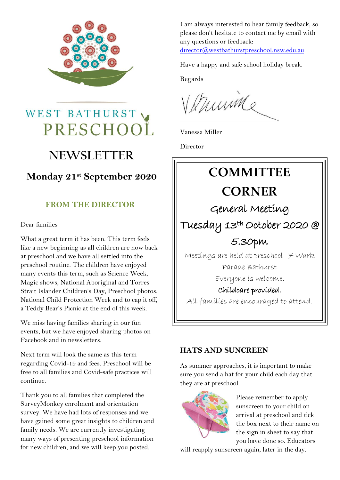

# WEST BATHURST PRESCHOOL

# **NEWSLETTER**

### **Monday 21st September 2020**

### **FROM THE DIRECTOR**

#### Dear families

What a great term it has been. This term feels like a new beginning as all children are now back at preschool and we have all settled into the preschool routine. The children have enjoyed many events this term, such as Science Week, Magic shows, National Aboriginal and Torres Strait Islander Children's Day, Preschool photos, National Child Protection Week and to cap it off, a Teddy Bear's Picnic at the end of this week.

We miss having families sharing in our fun events, but we have enjoyed sharing photos on Facebook and in newsletters.

Next term will look the same as this term regarding Covid-19 and fees. Preschool will be free to all families and Covid-safe practices will continue.

Thank you to all families that completed the SurveyMonkey enrolment and orientation survey. We have had lots of responses and we have gained some great insights to children and family needs. We are currently investigating many ways of presenting preschool information for new children, and we will keep you posted.

I am always interested to hear family feedback, so please don't hesitate to contact me by email with any questions or feedback: [director@westbathurstpreschool.nsw.edu.au](mailto:director@westbathurstpreschool.nsw.edu.au)

Have a happy and safe school holiday break.

Regards

Verming

Vanessa Miller

Director



### **HATS AND SUNCREEN**

As summer approaches, it is important to make sure you send a hat for your child each day that they are at preschool.



Please remember to apply sunscreen to your child on arrival at preschool and tick the box next to their name on the sign in sheet to say that you have done so. Educators

will reapply sunscreen again, later in the day.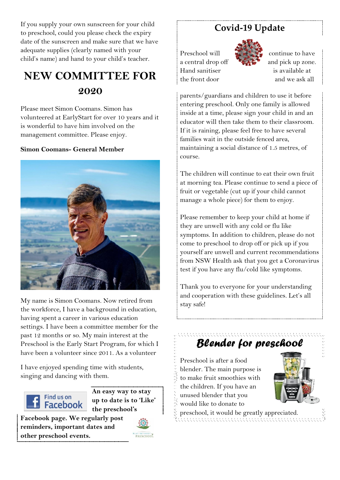If you supply your own sunscreen for your child to preschool, could you please check the expiry date of the sunscreen and make sure that we have adequate supplies (clearly named with your child's name) and hand to your child's teacher.

# **NEW COMMITTEE FOR 2020**

Please meet Simon Coomans. Simon has volunteered at EarlyStart for over 10 years and it is wonderful to have him involved on the management committee. Please enjoy.

#### **Simon Coomans- General Member**



My name is Simon Coomans. Now retired from the workforce, I have a background in education, having spent a career in various education settings. I have been a committee member for the past 12 months or so. My main interest at the Preschool is the Early Start Program, for which I have been a volunteer since 2011. As a volunteer

I have enjoyed spending time with students, singing and dancing with them.



**An easy way to stay up to date is to 'Like' the preschool's** 

**Facebook page. We regularly post reminders, important dates and other preschool events.**



### **Covid-19 Update**

Preschool will  $\ddot{a}$   $\ddot{b}$  continue to have Hand sanitiser is available at



a central drop off  $\mathbb{R}$  and pick up zone. the front door and we ask all

parents/guardians and children to use it before entering preschool. Only one family is allowed inside at a time, please sign your child in and an educator will then take them to their classroom. If it is raining, please feel free to have several families wait in the outside fenced area, maintaining a social distance of 1.5 metres, of course.

The children will continue to eat their own fruit at morning tea. Please continue to send a piece of fruit or vegetable (cut up if your child cannot manage a whole piece) for them to enjoy.

Please remember to keep your child at home if they are unwell with any cold or flu like symptoms. In addition to children, please do not come to preschool to drop off or pick up if you yourself are unwell and current recommendations from NSW Health ask that you get a Coronavirus test if you have any flu/cold like symptoms.

Thank you to everyone for your understanding and cooperation with these guidelines. Let's all stay safe!

## *Blender for preschool*

- Preschool is after a food
- blender. The main purpose is
- to make fruit smoothies with
- the children. If you have an
- unused blender that you
- would like to donate to
- preschool, it would be greatly appreciated.